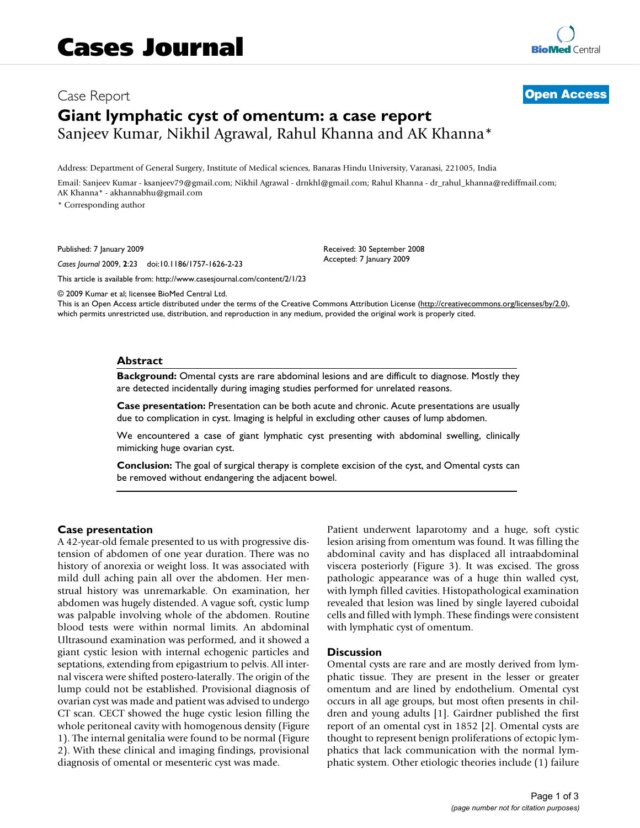# Case Report **[Open Access](http://www.biomedcentral.com/info/about/charter/) Giant lymphatic cyst of omentum: a case report** Sanjeev Kumar, Nikhil Agrawal, Rahul Khanna and AK Khanna\*

Address: Department of General Surgery, Institute of Medical sciences, Banaras Hindu University, Varanasi, 221005, India

Email: Sanjeev Kumar - ksanjeev79@gmail.com; Nikhil Agrawal - drnkhl@gmail.com; Rahul Khanna - dr\_rahul\_khanna@rediffmail.com; AK Khanna\* - akhannabhu@gmail.com

\* Corresponding author

Published: 7 January 2009

*Cases Journal* 2009, **2**:23 doi:10.1186/1757-1626-2-23

[This article is available from: http://www.casesjournal.com/content/2/1/23](http://www.casesjournal.com/content/2/1/23)

© 2009 Kumar et al; licensee BioMed Central Ltd.

This is an Open Access article distributed under the terms of the Creative Commons Attribution License [\(http://creativecommons.org/licenses/by/2.0\)](http://creativecommons.org/licenses/by/2.0), which permits unrestricted use, distribution, and reproduction in any medium, provided the original work is properly cited.

Received: 30 September 2008 Accepted: 7 January 2009

### **Abstract**

**Background:** Omental cysts are rare abdominal lesions and are difficult to diagnose. Mostly they are detected incidentally during imaging studies performed for unrelated reasons.

**Case presentation:** Presentation can be both acute and chronic. Acute presentations are usually due to complication in cyst. Imaging is helpful in excluding other causes of lump abdomen.

We encountered a case of giant lymphatic cyst presenting with abdominal swelling, clinically mimicking huge ovarian cyst.

**Conclusion:** The goal of surgical therapy is complete excision of the cyst, and Omental cysts can be removed without endangering the adjacent bowel.

#### **Case presentation**

A 42-year-old female presented to us with progressive distension of abdomen of one year duration. There was no history of anorexia or weight loss. It was associated with mild dull aching pain all over the abdomen. Her menstrual history was unremarkable. On examination, her abdomen was hugely distended. A vague soft, cystic lump was palpable involving whole of the abdomen. Routine blood tests were within normal limits. An abdominal Ultrasound examination was performed, and it showed a giant cystic lesion with internal echogenic particles and septations, extending from epigastrium to pelvis. All internal viscera were shifted postero-laterally. The origin of the lump could not be established. Provisional diagnosis of ovarian cyst was made and patient was advised to undergo CT scan. CECT showed the huge cystic lesion filling the whole peritoneal cavity with homogenous density (Figure 1). The internal genitalia were found to be normal (Figure 2). With these clinical and imaging findings, provisional diagnosis of omental or mesenteric cyst was made.

Patient underwent laparotomy and a huge, soft cystic lesion arising from omentum was found. It was filling the abdominal cavity and has displaced all intraabdominal viscera posteriorly (Figure 3). It was excised. The gross pathologic appearance was of a huge thin walled cyst, with lymph filled cavities. Histopathological examination revealed that lesion was lined by single layered cuboidal cells and filled with lymph. These findings were consistent with lymphatic cyst of omentum.

#### **Discussion**

Omental cysts are rare and are mostly derived from lymphatic tissue. They are present in the lesser or greater omentum and are lined by endothelium. Omental cyst occurs in all age groups, but most often presents in children and young adults [1]. Gairdner published the first report of an omental cyst in 1852 [2]. Omental cysts are thought to represent benign proliferations of ectopic lymphatics that lack communication with the normal lymphatic system. Other etiologic theories include (1) failure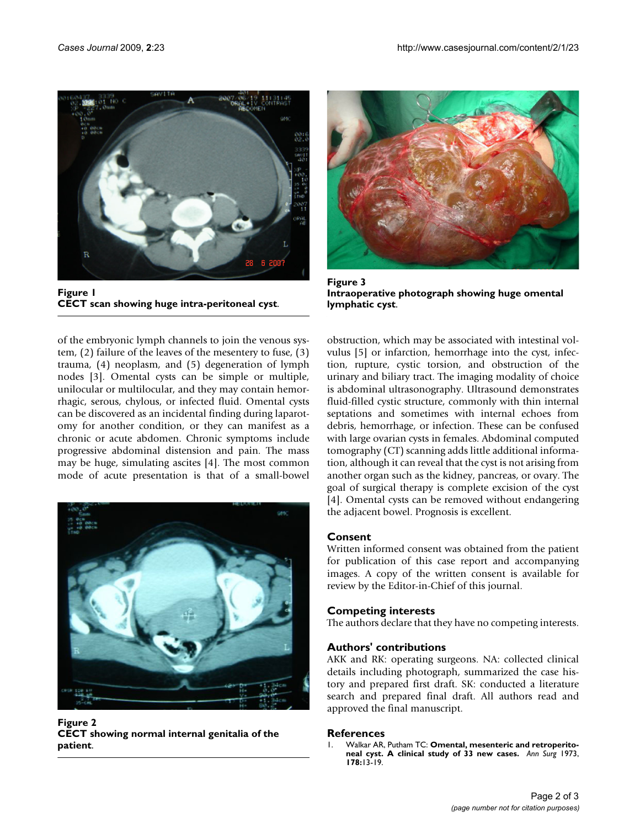

Figure 1 **CECT scan showing huge intra-peritoneal cyst**.

of the embryonic lymph channels to join the venous system, (2) failure of the leaves of the mesentery to fuse, (3) trauma, (4) neoplasm, and (5) degeneration of lymph nodes [3]. Omental cysts can be simple or multiple, unilocular or multilocular, and they may contain hemorrhagic, serous, chylous, or infected fluid. Omental cysts can be discovered as an incidental finding during laparotomy for another condition, or they can manifest as a chronic or acute abdomen. Chronic symptoms include progressive abdominal distension and pain. The mass may be huge, simulating ascites [4]. The most common mode of acute presentation is that of a small-bowel



**Figure 2 CECT showing normal internal genitalia of the patient**.



**Figure 3 Intraoperative photograph showing huge omental lymphatic cyst**.

obstruction, which may be associated with intestinal volvulus [5] or infarction, hemorrhage into the cyst, infection, rupture, cystic torsion, and obstruction of the urinary and biliary tract. The imaging modality of choice is abdominal ultrasonography. Ultrasound demonstrates fluid-filled cystic structure, commonly with thin internal septations and sometimes with internal echoes from debris, hemorrhage, or infection. These can be confused with large ovarian cysts in females. Abdominal computed tomography (CT) scanning adds little additional information, although it can reveal that the cyst is not arising from another organ such as the kidney, pancreas, or ovary. The goal of surgical therapy is complete excision of the cyst [4]. Omental cysts can be removed without endangering the adjacent bowel. Prognosis is excellent.

# **Consent**

Written informed consent was obtained from the patient for publication of this case report and accompanying images. A copy of the written consent is available for review by the Editor-in-Chief of this journal.

# **Competing interests**

The authors declare that they have no competing interests.

## **Authors' contributions**

AKK and RK: operating surgeons. NA: collected clinical details including photograph, summarized the case history and prepared first draft. SK: conducted a literature search and prepared final draft. All authors read and approved the final manuscript.

## **References**

1. Walkar AR, Putham TC: **[Omental, mesenteric and retroperito](http://www.ncbi.nlm.nih.gov/entrez/query.fcgi?cmd=Retrieve&db=PubMed&dopt=Abstract&list_uids=4717705)[neal cyst. A clinical study of 33 new cases.](http://www.ncbi.nlm.nih.gov/entrez/query.fcgi?cmd=Retrieve&db=PubMed&dopt=Abstract&list_uids=4717705)** *Ann Surg* 1973, **178:**13-19.